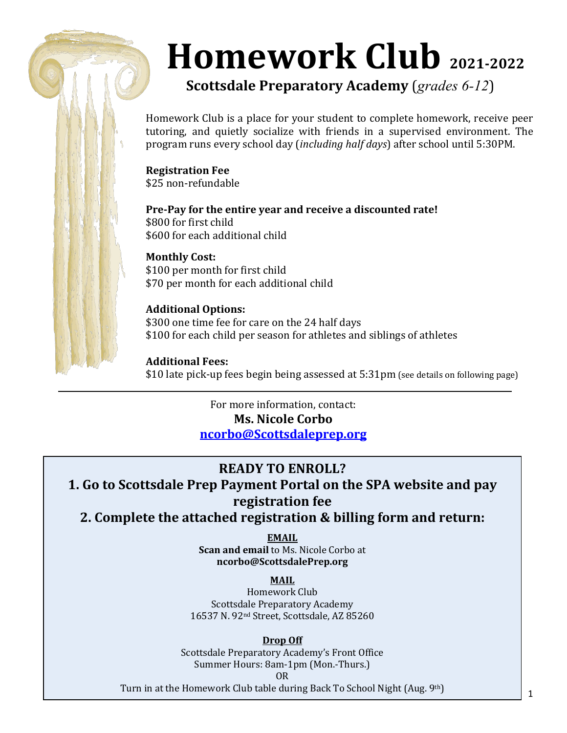# **Homework Club 2021-2022**

**Scottsdale Preparatory Academy** (*grades 6-12*)

Homework Club is a place for your student to complete homework, receive peer tutoring, and quietly socialize with friends in a supervised environment. The program runs every school day (*including half days*) after school until 5:30PM.

**Registration Fee** \$25 non-refundable

**Pre-Pay for the entire year and receive a discounted rate!** \$800 for first child \$600 for each additional child

**Monthly Cost:** \$100 per month for first child \$70 per month for each additional child

**Additional Options:** \$300 one time fee for care on the 24 half days \$100 for each child per season for athletes and siblings of athletes

**Additional Fees:** \$10 late pick-up fees begin being assessed at 5:31pm (see details on following page)

> For more information, contact: **Ms. Nicole Corbo [ncorbo@Scottsdaleprep.org](mailto:ncorbo@Scottsdaleprep.org)**

**READY TO ENROLL? 1. Go to Scottsdale Prep Payment Portal on the SPA website and pay registration fee 2. Complete the attached registration & billing form and return:**

> **EMAIL Scan and email** to Ms. Nicole Corbo at **ncorbo@ScottsdalePrep.org**

## **MAIL**

Homework Club Scottsdale Preparatory Academy 16537 N. 92nd Street, Scottsdale, AZ 85260

## **Drop Off**

Scottsdale Preparatory Academy's Front Office Summer Hours: 8am-1pm (Mon.-Thurs.) OR

Turn in at the Homework Club table during Back To School Night (Aug. 9th)

1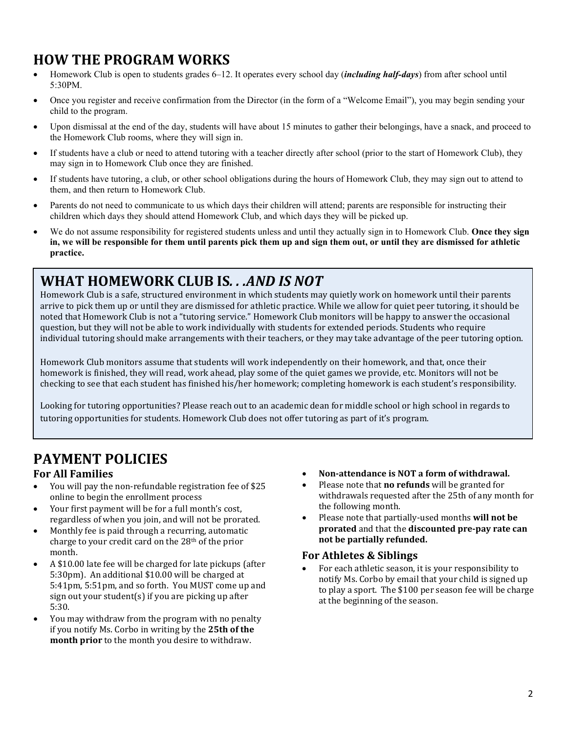## **HOW THE PROGRAM WORKS**

- Homework Club is open to students grades 6–12. It operates every school day (*including half-days*) from after school until 5:30PM.
- Once you register and receive confirmation from the Director (in the form of a "Welcome Email"), you may begin sending your child to the program.
- Upon dismissal at the end of the day, students will have about 15 minutes to gather their belongings, have a snack, and proceed to the Homework Club rooms, where they will sign in.
- If students have a club or need to attend tutoring with a teacher directly after school (prior to the start of Homework Club), they may sign in to Homework Club once they are finished.
- If students have tutoring, a club, or other school obligations during the hours of Homework Club, they may sign out to attend to them, and then return to Homework Club.
- Parents do not need to communicate to us which days their children will attend; parents are responsible for instructing their children which days they should attend Homework Club, and which days they will be picked up.
- We do not assume responsibility for registered students unless and until they actually sign in to Homework Club. **Once they sign in, we will be responsible for them until parents pick them up and sign them out, or until they are dismissed for athletic practice.**

## **WHAT HOMEWORK CLUB IS***. . .AND IS NOT*

Homework Club is a safe, structured environment in which students may quietly work on homework until their parents arrive to pick them up or until they are dismissed for athletic practice. While we allow for quiet peer tutoring, it should be noted that Homework Club is not a "tutoring service." Homework Club monitors will be happy to answer the occasional question, but they will not be able to work individually with students for extended periods. Students who require individual tutoring should make arrangements with their teachers, or they may take advantage of the peer tutoring option.

Homework Club monitors assume that students will work independently on their homework, and that, once their homework is finished, they will read, work ahead, play some of the quiet games we provide, etc. Monitors will not be checking to see that each student has finished his/her homework; completing homework is each student's responsibility.

Looking for tutoring opportunities? Please reach out to an academic dean for middle school or high school in regards to tutoring opportunities for students. Homework Club does not offer tutoring as part of it's program.

# **PAYMENT POLICIES**

## **For All Families**

- You will pay the non-refundable registration fee of \$25 online to begin the enrollment process
- Your first payment will be for a full month's cost, regardless of when you join, and will not be prorated.
- Monthly fee is paid through a recurring, automatic charge to your credit card on the 28th of the prior month.
- A \$10.00 late fee will be charged for late pickups (after 5:30pm). An additional \$10.00 will be charged at 5:41pm, 5:51pm, and so forth. You MUST come up and sign out your student(s) if you are picking up after 5:30.
- You may withdraw from the program with no penalty if you notify Ms. Corbo in writing by the **25th of the month prior** to the month you desire to withdraw.
- **Non-attendance is NOT a form of withdrawal.**
- Please note that **no refunds** will be granted for withdrawals requested after the 25th of any month for the following month.
- Please note that partially-used months **will not be prorated** and that the **discounted pre-pay rate can not be partially refunded.**

## **For Athletes & Siblings**

• For each athletic season, it is your responsibility to notify Ms. Corbo by email that your child is signed up to play a sport. The \$100 per season fee will be charge at the beginning of the season.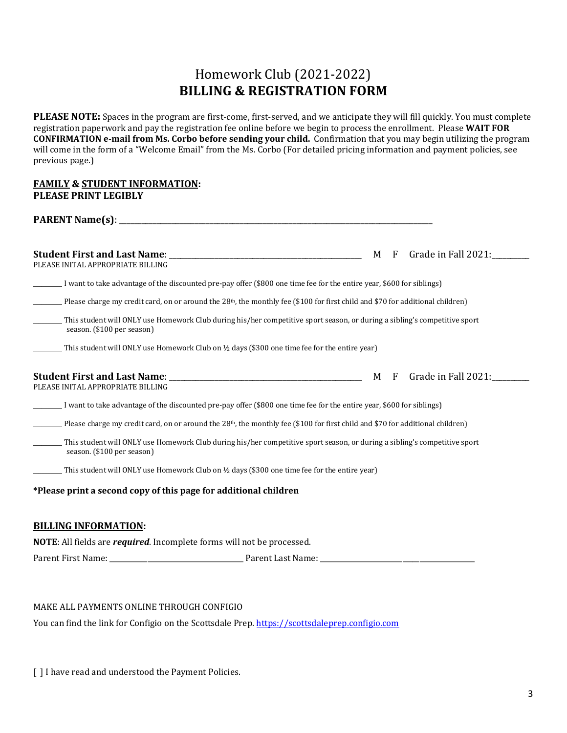## Homework Club (2021-2022) **BILLING & REGISTRATION FORM**

**PLEASE NOTE:** Spaces in the program are first-come, first-served, and we anticipate they will fill quickly. You must complete registration paperwork and pay the registration fee online before we begin to process the enrollment. Please **WAIT FOR CONFIRMATION e-mail from Ms. Corbo before sending your child.** Confirmation that you may begin utilizing the program will come in the form of a "Welcome Email" from the Ms. Corbo (For detailed pricing information and payment policies, see previous page.)

### **FAMILY & STUDENT INFORMATION: PLEASE PRINT LEGIBLY**

**PARENT Name(s):** 

| <b>Student First and Last Name:</b>                                                                                                                     | M                                                                                                                                | F | Grade in Fall 2021: |  |
|---------------------------------------------------------------------------------------------------------------------------------------------------------|----------------------------------------------------------------------------------------------------------------------------------|---|---------------------|--|
| PLEASE INITAL APPROPRIATE BILLING                                                                                                                       |                                                                                                                                  |   |                     |  |
| I want to take advantage of the discounted pre-pay offer (\$800 one time fee for the entire year, \$600 for siblings)                                   |                                                                                                                                  |   |                     |  |
|                                                                                                                                                         | Please charge my credit card, on or around the $28th$ , the monthly fee (\$100 for first child and \$70 for additional children) |   |                     |  |
| This student will ONLY use Homework Club during his/her competitive sport season, or during a sibling's competitive sport<br>season. (\$100 per season) |                                                                                                                                  |   |                     |  |
| This student will ONLY use Homework Club on 1/2 days (\$300 one time fee for the entire year)                                                           |                                                                                                                                  |   |                     |  |
| PLEASE INITAL APPROPRIATE BILLING                                                                                                                       | M                                                                                                                                | F | Grade in Fall 2021: |  |
| I want to take advantage of the discounted pre-pay offer (\$800 one time fee for the entire year, \$600 for siblings)                                   |                                                                                                                                  |   |                     |  |
| Please charge my credit card, on or around the 28 <sup>th</sup> , the monthly fee (\$100 for first child and \$70 for additional children)              |                                                                                                                                  |   |                     |  |
| This student will ONLY use Homework Club during his/her competitive sport season, or during a sibling's competitive sport<br>season. (\$100 per season) |                                                                                                                                  |   |                     |  |
| This student will ONLY use Homework Club on 1/2 days (\$300 one time fee for the entire year)                                                           |                                                                                                                                  |   |                     |  |
| *Please print a second copy of this page for additional children                                                                                        |                                                                                                                                  |   |                     |  |
| <b>BILLING INFORMATION:</b>                                                                                                                             |                                                                                                                                  |   |                     |  |

**NOTE**: All fields are *required*. Incomplete forms will not be processed.

Parent First Name: \_\_\_\_\_\_\_\_\_\_\_\_\_\_\_\_\_\_\_\_\_\_\_\_\_\_\_\_\_\_\_\_\_\_\_\_\_\_\_ Parent Last Name: \_\_\_\_\_\_\_\_\_\_\_\_\_\_\_\_\_\_\_\_\_\_\_\_\_\_\_\_\_\_\_\_\_\_\_\_\_\_\_\_\_\_\_\_\_

### MAKE ALL PAYMENTS ONLINE THROUGH CONFIGIO

You can find the link for Configio on the Scottsdale Prep. [https://scottsdaleprep.configio.com](https://scottsdaleprep.configio.com/)

[] I have read and understood the Payment Policies.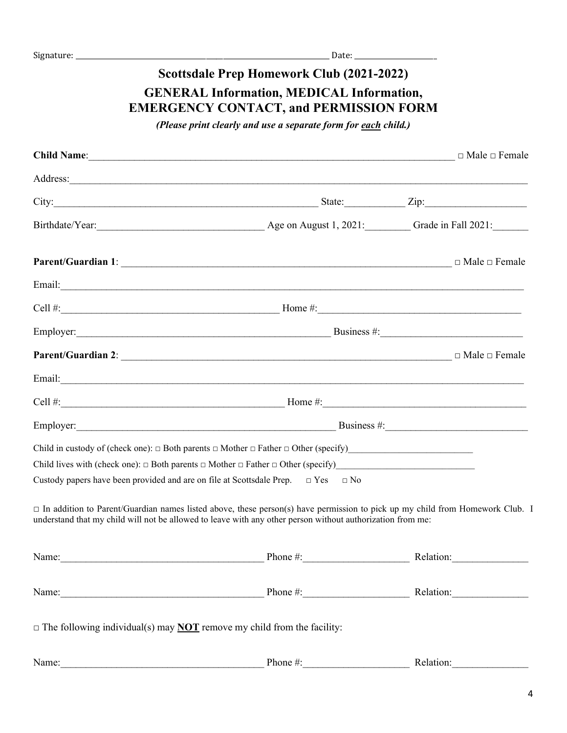## **Scottsdale Prep Homework Club (2021-2022) GENERAL Information, MEDICAL Information, EMERGENCY CONTACT, and PERMISSION FORM**

*(Please print clearly and use a separate form for each child.)*

|       |                                                                                                                                                                                                                                                   | $\Box$ Male $\Box$ Female |
|-------|---------------------------------------------------------------------------------------------------------------------------------------------------------------------------------------------------------------------------------------------------|---------------------------|
|       | Address: and the contract of the contract of the contract of the contract of the contract of the contract of the contract of the contract of the contract of the contract of the contract of the contract of the contract of t                    |                           |
|       | City: $\frac{1}{2}$ State: $\frac{1}{2}$ Zip: $\frac{1}{2}$ Zip:                                                                                                                                                                                  |                           |
|       |                                                                                                                                                                                                                                                   |                           |
|       |                                                                                                                                                                                                                                                   |                           |
|       |                                                                                                                                                                                                                                                   |                           |
|       |                                                                                                                                                                                                                                                   |                           |
|       |                                                                                                                                                                                                                                                   |                           |
|       |                                                                                                                                                                                                                                                   |                           |
|       |                                                                                                                                                                                                                                                   |                           |
|       |                                                                                                                                                                                                                                                   |                           |
|       |                                                                                                                                                                                                                                                   |                           |
|       | Child in custody of (check one): $\Box$ Both parents $\Box$ Mother $\Box$ Father $\Box$ Other (specify)                                                                                                                                           |                           |
|       | Child lives with (check one): $\Box$ Both parents $\Box$ Mother $\Box$ Father $\Box$ Other (specify)                                                                                                                                              |                           |
|       | Custody papers have been provided and are on file at Scottsdale Prep. $\Box$ Yes $\Box$ No                                                                                                                                                        |                           |
|       | $\Box$ In addition to Parent/Guardian names listed above, these person(s) have permission to pick up my child from Homework Club. I<br>understand that my child will not be allowed to leave with any other person without authorization from me: |                           |
| Name: | Phone #:                                                                                                                                                                                                                                          | Relation:                 |
|       | Name: Relation: Relation:                                                                                                                                                                                                                         |                           |
|       | $\Box$ The following individual(s) may <b>NOT</b> remove my child from the facility:                                                                                                                                                              |                           |
| Name. | $\mathbf{Phone} \# \cdot \mathbf{Relation}$                                                                                                                                                                                                       |                           |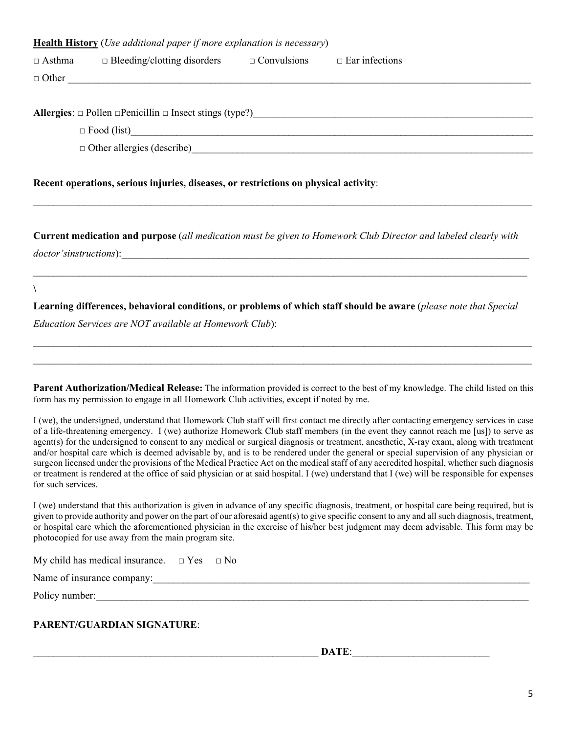| <b>Health History</b> ( <i>Use additional paper if more explanation is necessary</i> ) |                                    |                    |                       |  |  |
|----------------------------------------------------------------------------------------|------------------------------------|--------------------|-----------------------|--|--|
| $\Box$ Asthma                                                                          | $\Box$ Bleeding/clotting disorders | $\Box$ Convulsions | $\Box$ Ear infections |  |  |
| $\Box$ Other                                                                           |                                    |                    |                       |  |  |
|                                                                                        |                                    |                    |                       |  |  |
| Allergies: $\Box$ Pollen $\Box$ Penicillin $\Box$ Insect stings (type?)                |                                    |                    |                       |  |  |
|                                                                                        | $\Box$ Food (list)                 |                    |                       |  |  |
|                                                                                        | $\Box$ Other allergies (describe)  |                    |                       |  |  |
|                                                                                        |                                    |                    |                       |  |  |

### **Recent operations, serious injuries, diseases, or restrictions on physical activity**:

**Current medication and purpose** (*all medication must be given to Homework Club Director and labeled clearly with*  doctor'sinstructions):

 $\_$  , and the contribution of the contribution of the contribution of the contribution of the contribution of  $\mathcal{L}_\text{max}$ 

 $\_$  , and the contribution of the contribution of the contribution of the contribution of the contribution of  $\mathcal{L}_\text{max}$ 

**Learning differences, behavioral conditions, or problems of which staff should be aware** (*please note that Special* 

*Education Services are NOT available at Homework Club*):

**Parent Authorization/Medical Release:** The information provided is correct to the best of my knowledge. The child listed on this form has my permission to engage in all Homework Club activities, except if noted by me.

 $\_$  $\overline{\phantom{a}}$  , and the contribution of the contribution of the contribution of the contribution of the contribution of the contribution of the contribution of the contribution of the contribution of the contribution of the

I (we), the undersigned, understand that Homework Club staff will first contact me directly after contacting emergency services in case of a life-threatening emergency. I (we) authorize Homework Club staff members (in the event they cannot reach me [us]) to serve as agent(s) for the undersigned to consent to any medical or surgical diagnosis or treatment, anesthetic, X-ray exam, along with treatment and/or hospital care which is deemed advisable by, and is to be rendered under the general or special supervision of any physician or surgeon licensed under the provisions of the Medical Practice Act on the medical staff of any accredited hospital, whether such diagnosis or treatment is rendered at the office of said physician or at said hospital. I (we) understand that I (we) will be responsible for expenses for such services.

I (we) understand that this authorization is given in advance of any specific diagnosis, treatment, or hospital care being required, but is given to provide authority and power on the part of our aforesaid agent(s) to give specific consent to any and all such diagnosis, treatment, or hospital care which the aforementioned physician in the exercise of his/her best judgment may deem advisable. This form may be photocopied for use away from the main program site.

| My child has medical insurance. | $\Box$ Yes $\Box$ No |  |
|---------------------------------|----------------------|--|
|---------------------------------|----------------------|--|

Name of insurance company:\_\_\_\_\_\_\_\_\_\_\_\_\_\_\_\_\_\_\_\_\_\_\_\_\_\_\_\_\_\_\_\_\_\_\_\_\_\_\_\_\_\_\_\_\_\_\_\_\_\_\_\_\_\_\_\_\_\_\_\_\_\_\_\_\_\_\_\_\_\_\_\_\_\_

Policy number:

**\**

#### **PARENT/GUARDIAN SIGNATURE**:

DATE: